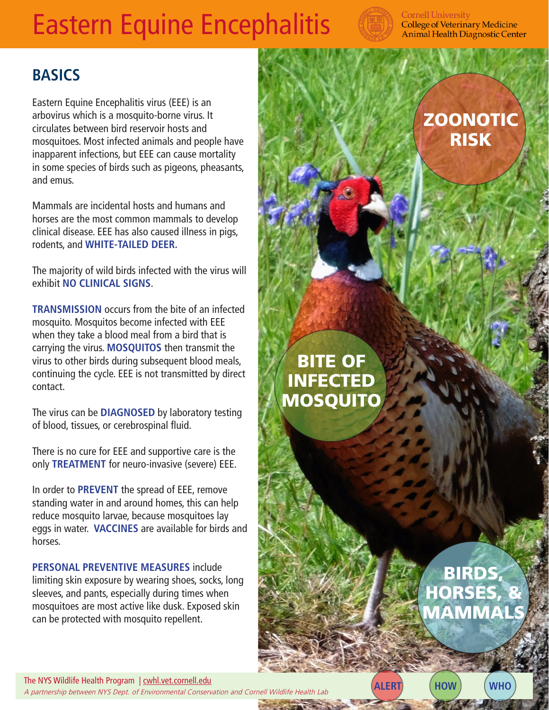# Eastern Equine Encephalitis



#### **Cornell University College of Veterinary Medicine Animal Health Diagnostic Center**

## **BASICS**

Eastern Equine Encephalitis virus (EEE) is an arbovirus which is a mosquito-borne virus. It circulates between bird reservoir hosts and mosquitoes. Most infected animals and people have inapparent infections, but EEE can cause mortality in some species of birds such as pigeons, pheasants, and emus.

Mammals are incidental hosts and humans and horses are the most common mammals to develop clinical disease. EEE has also caused illness in pigs, rodents, and **WHITE-TAILED DEER.** 

The majority of wild birds infected with the virus will exhibit **NO CLINICAL SIGNS**.

**TRANSMISSION** occurs from the bite of an infected mosquito. Mosquitos become infected with EEE when they take a blood meal from a bird that is carrying the virus. **MOSQUITOS** then transmit the virus to other birds during subsequent blood meals, continuing the cycle. EEE is not transmitted by direct contact.

The virus can be **DIAGNOSED** by laboratory testing of blood, tissues, or cerebrospinal fluid.

There is no cure for EEE and supportive care is the only **TREATMENT** for neuro-invasive (severe) EEE.

In order to **PREVENT** the spread of EEE, remove standing water in and around homes, this can help reduce mosquito larvae, because mosquitoes lay eggs in water. **VACCINES** are available for birds and horses.

**PERSONAL PREVENTIVE MEASURES** include limiting skin exposure by wearing shoes, socks, long sleeves, and pants, especially during times when mosquitoes are most active like dusk. Exposed skin can be protected with mosquito repellent.

# **ZOONOTIC** RISK

BITE OF INFECTED **MOSQUITO** 

# BIRDS, HORSES, & **MAMMAL**

The NYS Wildlife Health Program | cwhl.vet.cornell.edu A partnership between NYS Dept. of Environmental Conservation and Cornell Wildlife Health Lab **ALERT HOW WHO**